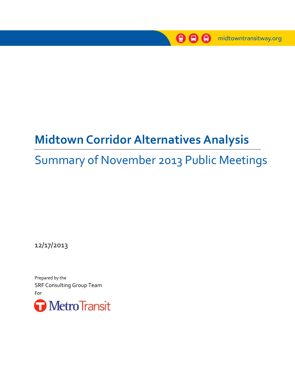

# **Midtown Corridor Alternatives Analysis**

# Summary of November 2013 Public Meetings

12/17/2013

Prepared by the SRF Consulting Group Team For

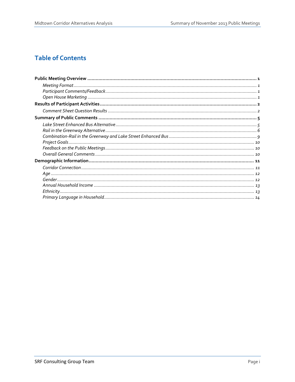# **Table of Contents**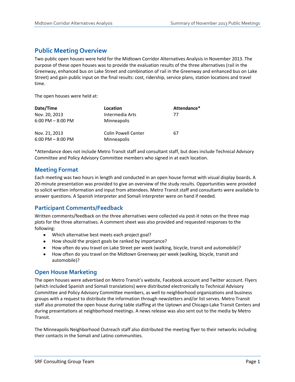# <span id="page-2-0"></span>**Public Meeting Overview**

Two public open houses were held for the Midtown Corridor Alternatives Analysis in November 2013. The purpose of these open houses was to provide the evaluation results of the three alternatives (rail in the Greenway, enhanced bus on Lake Street and combination of rail in the Greenway and enhanced bus on Lake Street) and gain public input on the final results: cost, ridership, service plans, station locations and travel time.

The open houses were held at:

| Date/Time                              | Location                           | Attendance* |
|----------------------------------------|------------------------------------|-------------|
| Nov. 20, 2013                          | Intermedia Arts                    | 77          |
| $6:00$ PM $- 8:00$ PM                  | Minneapolis                        |             |
| Nov. 21, 2013<br>$6:00$ PM $- 8:00$ PM | Colin Powell Center<br>Minneapolis | 67          |

\*Attendance does not include Metro Transit staff and consultant staff, but does include Technical Advisory Committee and Policy Advisory Committee members who signed in at each location.

### <span id="page-2-1"></span>**Meeting Format**

Each meeting was two hours in length and conducted in an open house format with visual display boards. A 20-minute presentation was provided to give an overview of the study results. Opportunities were provided to solicit written information and input from attendees. Metro Transit staff and consultants were available to answer questions. A Spanish interpreter and Somali interpreter were on hand if needed.

### <span id="page-2-2"></span>**Participant Comments/Feedback**

Written comments/feedback on the three alternatives were collected via post-it notes on the three map plots for the three alternatives. A comment sheet was also provided and requested responses to the following:

- $\bullet$ Which alternative best meets each project goal?
- How should the project goals be ranked by importance?
- How often do you travel on Lake Street per week (walking, bicycle, transit and automobile)?
- How often do you travel on the Midtown Greenway per week (walking, bicycle, transit and automobile)?

#### <span id="page-2-3"></span>**Open House Marketing**

The open houses were advertised on Metro Transit's website, Facebook account and Twitter account. Flyers (which included Spanish and Somali translations) were distributed electronically to Technical Advisory Committee and Policy Advisory Committee members, as well to neighborhood organizations and business groups with a request to distribute the information through newsletters and/or list serves. Metro Transit staff also promoted the open house during table staffing at the Uptown and Chicago-Lake Transit Centers and during presentations at neighborhood meetings. A news release was also sent out to the media by Metro Transit.

The Minneapolis Neighborhood Outreach staff also distributed the meeting flyer to their networks including their contacts in the Somali and Latino communities.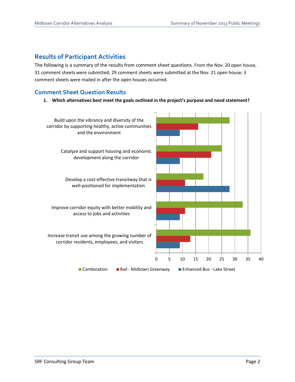# <span id="page-3-0"></span>**Results of Participant Activities**

The following is a summary of the results from comment sheet questions. From the Nov. 20 open house, 31 comment sheets were submitted; 29 comment sheets were submitted at the Nov. 21 open house; 3 comment sheets were mailed in after the open houses occurred.

## <span id="page-3-1"></span>**Comment Sheet Question Results**

**1. Which alternatives best meet the goals outlined in the project's purpose and need statement?**

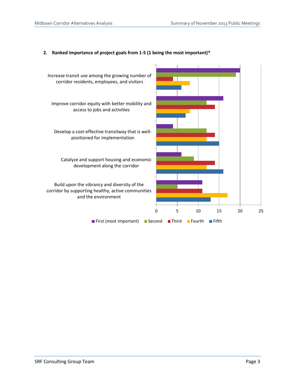

#### **2. Ranked importance of project goals from 1-5 (1 being the most important)\***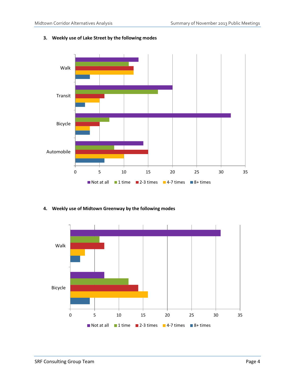

# **3. Weekly use of Lake Street by the following modes**

**4. Weekly use of Midtown Greenway by the following modes**

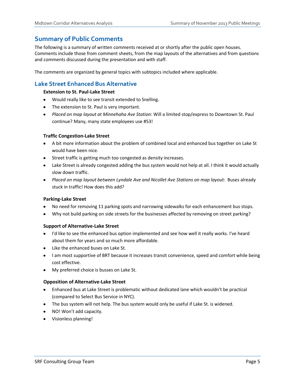# <span id="page-6-0"></span>**Summary of Public Comments**

The following is a summary of written comments received at or shortly after the public open houses. Comments include those from comment sheets, from the map layouts of the alternatives and from questions and comments discussed during the presentation and with staff.

The comments are organized by general topics with subtopics included where applicable.

# <span id="page-6-1"></span>**Lake Street Enhanced Bus Alternative**

#### **Extension to St. Paul-Lake Street**

- Would really like to see transit extended to Snelling.
- The extension to St. Paul is very important.
- *Placed on map layout at Minnehaha Ave Station*: Will a limited stop/express to Downtown St. Paul continue? Many, many state employees use #53!

#### **Traffic Congestion-Lake Street**

- A bit more information about the problem of combined local and enhanced bus together on Lake St would have been nice.
- Street traffic is getting much too congested as density increases.
- Lake Street is already congested adding the bus system would not help at all. I think it would actually slow down traffic.
- *Placed on map layout between Lyndale Ave and Nicollet Ave Stations on map layout:* Buses already stuck in traffic! How does this add?

#### **Parking-Lake Street**

- No need for removing 11 parking spots and narrowing sidewalks for each enhancement bus stops.
- Why not build parking on side streets for the businesses affected by removing on street parking?

#### **Support of Alternative-Lake Street**

- I'd like to see the enhanced bus option implemented and see how well it really works. I've heard  $\bullet$ about them for years and so much more affordable.
- Like the enhanced buses on Lake St.
- I am most supportive of BRT because it increases transit convenience, speed and comfort while being cost effective.
- My preferred choice is busses on Lake St.

#### **Opposition of Alternative-Lake Street**

- Enhanced bus at Lake Street is problematic without dedicated lane which wouldn't be practical (compared to Select Bus Service in NYC).
- The bus system will not help. The bus system would only be useful if Lake St. is widened.
- NO! Won't add capacity.
- Visionless planning!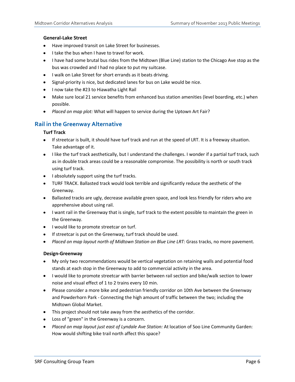#### **General-Lake Street**

- Have improved transit on Lake Street for businesses.
- I take the bus when I have to travel for work.
- I have had some brutal bus rides from the Midtown (Blue Line) station to the Chicago Ave stop as the bus was crowded and I had no place to put my suitcase.
- I walk on Lake Street for short errands as it beats driving.
- Signal-priority is nice, but dedicated lanes for bus on Lake would be nice.
- I now take the #23 to Hiawatha Light Rail
- Make sure local 21 service benefits from enhanced bus station amenities (level boarding, etc.) when possible.
- *Placed on map plot:* What will happen to service during the Uptown Art Fair?

# <span id="page-7-0"></span>**Rail in the Greenway Alternative**

#### **Turf Track**

- If streetcar is built, it should have turf track and run at the speed of LRT. It is a freeway situation. Take advantage of it.
- I like the turf track aesthetically, but I understand the challenges. I wonder if a partial turf track, such as in double track areas could be a reasonable compromise. The possibility is north or south track using turf track.
- I absolutely support using the turf tracks.
- TURF TRACK. Ballasted track would look terrible and significantly reduce the aesthetic of the Greenway.
- Ballasted tracks are ugly, decrease available green space, and look less friendly for riders who are apprehensive about using rail.
- I want rail in the Greenway that is single, turf track to the extent possible to maintain the green in the Greenway.
- I would like to promote streetcar on turf.
- If streetcar is put on the Greenway, turf track should be used.
- *Placed on map layout north of Midtown Station on Blue Line LRT:* Grass tracks, no more pavement.

#### **Design-Greenway**

- My only two recommendations would be vertical vegetation on retaining walls and potential food  $\bullet$ stands at each stop in the Greenway to add to commercial activity in the area.
- I would like to promote streetcar with barrier between rail section and bike/walk section to lower noise and visual effect of 1 to 2 trains every 10 min.
- Please consider a more bike and pedestrian friendly corridor on 10th Ave between the Greenway and Powderhorn Park - Connecting the high amount of traffic between the two; including the Midtown Global Market.
- This project should not take away from the aesthetics of the corridor.
- Loss of "green" in the Greenway is a concern.
- *Placed on map layout just east of Lyndale Ave Station:* At location of Soo Line Community Garden: How would shifting bike trail north affect this space?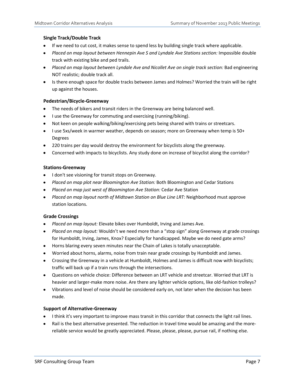#### **Single Track/Double Track**

- If we need to cut cost, it makes sense to spend less by building single track where applicable.
- Placed on map layout between Hennepin Ave S and Lyndale Ave Stations section: Impossible double track with existing bike and ped trails.
- *Placed on map layout between Lyndale Ave and Nicollet Ave on single track section:* Bad engineering NOT realistic; double track all.
- Is there enough space for double tracks between James and Holmes? Worried the train will be right up against the houses.

#### **Pedestrian/Bicycle-Greenway**

- $\bullet$ The needs of bikers and transit riders in the Greenway are being balanced well.
- I use the Greenway for commuting and exercising (running/biking).
- Not keen on people walking/biking/exercising pets being shared with trains or streetcars.
- $\bullet$  I use 5xs/week in warmer weather, depends on season; more on Greenway when temp is 50+ Degrees
- 220 trains per day would destroy the environment for bicyclists along the greenway.
- Concerned with impacts to bicyclists. Any study done on increase of bicyclist along the corridor?

#### **Stations-Greenway**

- $\bullet$  I don't see visioning for transit stops on Greenway.
- *Placed on map plot near Bloomington Ave Station:* Both Bloomington and Cedar Stations
- *Placed on map just west of Bloomington Ave Station:* Cedar Ave Station
- *Placed on map layout north of Midtown Station on Blue Line LRT:* Neighborhood must approve station locations.

#### **Grade Crossings**

- *Placed on map layout:* Elevate bikes over Humboldt, Irving and James Ave.
- *Placed on map layout:* Wouldn't we need more than a "stop sign" along Greenway at grade crossings for Humboldt, Irving, James, Knox? Especially for handicapped. Maybe we do need gate arms?
- Horns blaring every seven minutes near the Chain of Lakes is totally unacceptable.
- Worried about horns, alarms, noise from train near grade crossings by Humboldt and James.
- Crossing the Greenway in a vehicle at Humboldt, Holmes and James is difficult now with bicyclists; traffic will back up if a train runs through the intersections.
- Questions on vehicle choice: Difference between an LRT vehicle and streetcar. Worried that LRT is heavier and larger-make more noise. Are there any lighter vehicle options, like old-fashion trolleys?
- Vibrations and level of noise should be considered early on, not later when the decision has been made.

#### **Support of Alternative-Greenway**

- I think it's very important to improve mass transit in this corridor that connects the light rail lines.
- Rail is the best alternative presented. The reduction in travel time would be amazing and the more- $\bullet$ reliable service would be greatly appreciated. Please, please, please, pursue rail, if nothing else.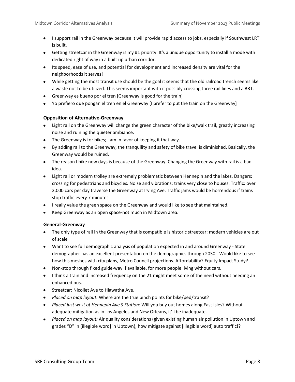- I support rail in the Greenway because it will provide rapid access to jobs, especially if Southwest LRT is built.
- Getting streetcar in the Greenway is my #1 priority. It's a unique opportunity to install a mode with dedicated right of way in a built up urban corridor.
- Its speed, ease of use, and potential for development and increased density are vital for the neighborhoods it serves!
- While getting the most transit use should be the goal it seems that the old railroad trench seems like a waste not to be utilized. This seems important with it possibly crossing three rail lines and a BRT.
- Greenway es bueno por el tren [Greenway is good for the train]
- Yo prefiero que pongan el tren en el Greenway [I prefer to put the train on the Greenway]

#### **Opposition of Alternative-Greenway**

- Light rail on the Greenway will change the green character of the bike/walk trail, greatly increasing noise and ruining the quieter ambiance.
- The Greenway is for bikes; I am in favor of keeping it that way.
- By adding rail to the Greenway, the tranquility and safety of bike travel is diminished. Basically, the Greenway would be ruined.
- The reason I bike now days is because of the Greenway. Changing the Greenway with rail is a bad idea.
- Light rail or modern trolley are extremely problematic between Hennepin and the lakes. Dangers: crossing for pedestrians and bicycles. Noise and vibrations: trains very close to houses. Traffic: over 2,000 cars per day traverse the Greenway at Irving Ave. Traffic jams would be horrendous if trains stop traffic every 7 minutes.
- I really value the green space on the Greenway and would like to see that maintained.
- Keep Greenway as an open space-not much in Midtown area.

#### **General-Greenway**

- The only type of rail in the Greenway that is compatible is historic streetcar; modern vehicles are out of scale
- Want to see full demographic analysis of population expected in and around Greenway State demographer has an excellent presentation on the demographics through 2030 - Would like to see how this meshes with city plans, Metro Council projections. Affordability? Equity Impact Study?
- Non-stop through fixed guide-way if available, for more people living without cars.
- I think a train and increased frequency on the 21 might meet some of the need without needing an enhanced bus.
- **Streetcar: Nicollet Ave to Hiawatha Ave.**
- *Placed on map layout:* Where are the true pinch points for bike/ped/transit?
- *Placed just west of Hennepin Ave S Station:* Will you buy out homes along East Isles? Without adequate mitigation as in Los Angeles and New Orleans, it'll be inadequate.
- *Placed on map layout:* Air quality considerations (given existing human air pollution in Uptown and grades "D" in [illegible word] in Uptown), how mitigate against [illegible word] auto traffic!?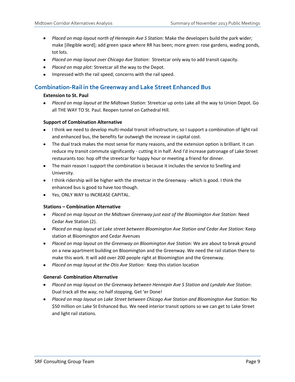- *Placed on map layout north of Hennepin Ave S Station:* Make the developers build the park wider; make [illegible word]; add green space where RR has been; more green: rose gardens, wading ponds, tot lots.
- *Placed on map layout over Chicago Ave Station:* Streetcar only way to add transit capacity.
- *Placed on map plot:* Streetcar all the way to the Depot.
- Impressed with the rail speed; concerns with the rail speed.

# <span id="page-10-0"></span>**Combination-Rail in the Greenway and Lake Street Enhanced Bus**

#### **Extension to St. Paul**

*Placed on map layout at the Midtown Station:* Streetcar up onto Lake all the way to Union Depot. Go all THE WAY TO St. Paul. Reopen tunnel on Cathedral Hill.

#### **Support of Combination Alternative**

- I think we need to develop multi-modal transit infrastructure, so I support a combination of light rail and enhanced bus, the benefits far outweigh the increase in capital cost.
- The dual track makes the most sense for many reasons, and the extension option is brilliant. It can reduce my transit commute significantly - cutting it in half. And I'd increase patronage of Lake Street restaurants too: hop off the streetcar for happy hour or meeting a friend for dinner.
- The main reason I support the combination is because it includes the service to Snelling and University.
- I think ridership will be higher with the streetcar in the Greenway which is good. I think the enhanced bus is good to have too though.
- Yes, ONLY WAY to INCREASE CAPITAL.

#### **Stations – Combination Alternative**

- *Placed on map layout on the Midtown Greenway just east of the Bloomington Ave Station:* Need Cedar Ave Station (2).
- *Placed on map layout at Lake street between Bloomington Ave Station and Cedar Ave Station:* Keep station at Bloomington and Cedar Avenues
- *Placed on map layout on the Greenway on Bloomington Ave Station:* We are about to break ground on a new apartment building on Bloomington and the Greenway. We need the rail station there to make this work. It will add over 200 people right at Bloomington and the Greenway.
- *Placed on map layout at the Otis Ave Station:* Keep this station location

#### **General- Combination Alternative**

- *Placed on map layout on the Greenway between Hennepin Ave S Station and Lyndale Ave Station*: Dual track all the way; no half stopping, Get 'er Done!
- *Placed on map layout on Lake Street between Chicago Ave Station and Bloomington Ave Station*: No \$50 million on Lake St Enhanced Bus. We need interior transit options so we can get to Lake Street and light rail stations.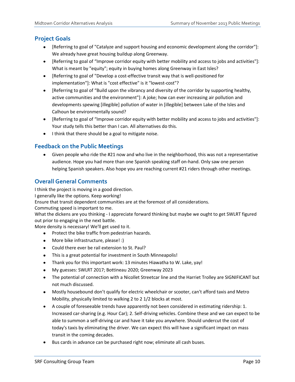# <span id="page-11-0"></span>**Project Goals**

- [Referring to goal of "Catalyze and support housing and economic development along the corridor"]: We already have great housing buildup along Greenway.
- [Referring to goal of "Improve corridor equity with better mobility and access to jobs and activities"]: What is meant by "equity"; equity in buying homes along Greenway in East Isles?
- [Referring to goal of "Develop a cost-effective transit way that is well-positioned for implementation"]: What is "cost effective" is it "lowest-cost"?
- [Referring to goal of "Build upon the vibrancy and diversity of the corridor by supporting healthy, active communities and the environment"]: A joke; how can ever increasing air pollution and developments spewing [illegible] pollution of water in [illegible] between Lake of the Isles and Calhoun be environmentally sound?
- [Referring to goal of "Improve corridor equity with better mobility and access to jobs and activities"]: Your study tells this better than I can. All alternatives do this.
- I think that there should be a goal to mitigate noise.

# <span id="page-11-1"></span>**Feedback on the Public Meetings**

Given people who ride the #21 now and who live in the neighborhood, this was not a representative audience. Hope you had more than one Spanish speaking staff on-hand. Only saw one person helping Spanish speakers. Also hope you are reaching current #21 riders through other meetings.

# <span id="page-11-2"></span>**Overall General Comments**

I think the project is moving in a good direction.

I generally like the options. Keep working!

Ensure that transit dependent communities are at the foremost of all considerations.

Commuting speed is important to me.

What the dickens are you thinking - I appreciate forward thinking but maybe we ought to get SWLRT figured out prior to engaging in the next battle.

More density is necessary! We'll get used to it.

- Protect the bike traffic from pedestrian hazards.
- More bike infrastructure, please! :)
- Could there ever be rail extension to St. Paul?
- This is a great potential for investment in South Minneapolis!
- Thank you for this important work: 13 minutes Hiawatha to W. Lake, yay!
- My guesses: SWLRT 2017; Bottineau 2020; Greenway 2023
- The potential of connection with a Nicollet Streetcar line and the Harriet Trolley are SIGNIFICANT but not much discussed.
- Mostly housebound don't qualify for electric wheelchair or scooter, can't afford taxis and Metro Mobility, physically limited to walking 2 to 2 1/2 blocks at most.
- A couple of foreseeable trends have apparently not been considered in estimating ridership: 1. Increased car-sharing (e.g. Hour Car); 2. Self-driving vehicles. Combine these and we can expect to be able to summon a self-driving car and have it take you anywhere. Should undercut the cost of today's taxis by eliminating the driver. We can expect this will have a significant impact on mass transit in the coming decades.
- Bus cards in advance can be purchased right now; eliminate all cash buses.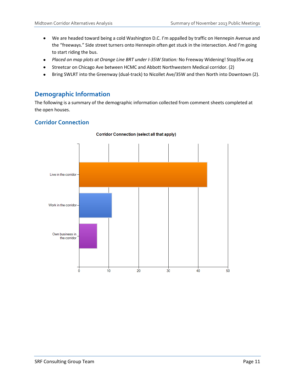- We are headed toward being a cold Washington D.C. I'm appalled by traffic on Hennepin Avenue and the "freeways." Side street turners onto Hennepin often get stuck in the intersection. And I'm going to start riding the bus.
- *Placed on map plots at Orange Line BRT under I-35W Station:* No Freeway Widening! Stop35w.org
- Streetcar on Chicago Ave between HCMC and Abbott Northwestern Medical corridor. (2)  $\bullet$
- Bring SWLRT into the Greenway (dual-track) to Nicollet Ave/35W and then North into Downtown (2).  $\bullet$

# <span id="page-12-0"></span>**Demographic Information**

The following is a summary of the demographic information collected from comment sheets completed at the open houses.

# <span id="page-12-1"></span>**Corridor Connection**



#### **Corridor Connection (select all that apply)**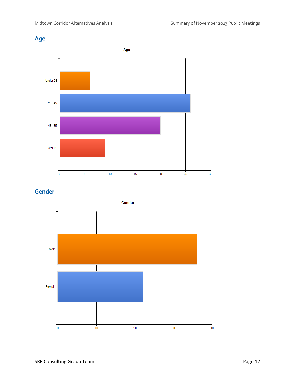<span id="page-13-0"></span>



<span id="page-13-1"></span>**Gender**

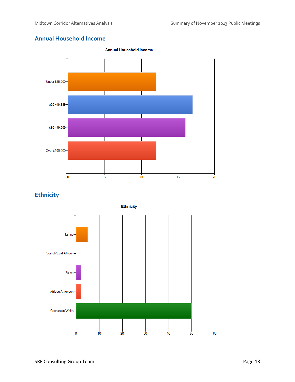# <span id="page-14-0"></span>**Annual Household Income**



# <span id="page-14-1"></span>**Ethnicity**